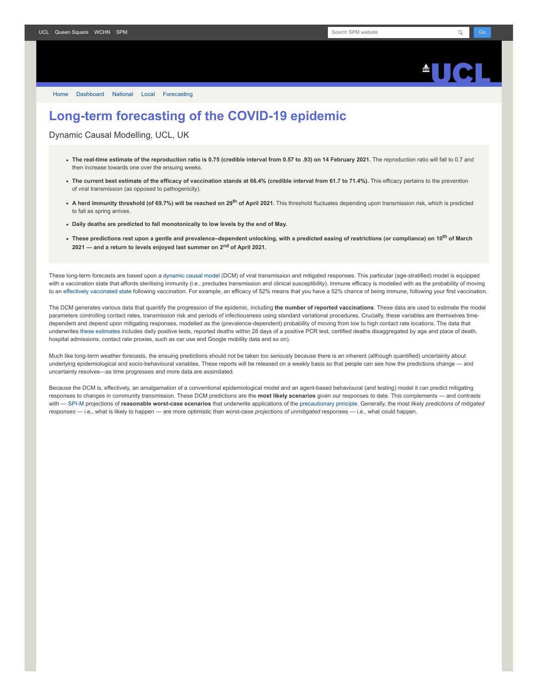

[Home](https://www.fil.ion.ucl.ac.uk/spm/covid-19/) [Dashboard](https://www.fil.ion.ucl.ac.uk/spm/covid-19/dashboard/) [National](https://www.fil.ion.ucl.ac.uk/spm/covid-19/dashboard/) [Local](https://www.fil.ion.ucl.ac.uk/spm/covid-19/dashboard/local/) [Forecasting](https://www.fil.ion.ucl.ac.uk/spm/covid-19/forecasting/)

## **Long-term forecasting of the COVID-19 epidemic**

Dynamic Causal Modelling, UCL, UK

- **The real-time estimate of the reproduction ratio is 0.75 (credible interval from 0.57 to .93) on 14 February 2021.** The reproduction ratio will fall to 0.7 and then increase towards one over the ensuing weeks.
- The current best estimate of the efficacy of vaccination stands at 66.4% (credible interval from 61.7 to 71.4%). This efficacy pertains to the prevention of viral transmission (as opposed to pathogenicity).
- **A herd immunity threshold (of 69.7%) will be reached on 29th of April 2021.** This threshold fluctuates depending upon transmission risk, which is predicted to fall as spring arrives.
- **Daily deaths are predicted to fall monotonically to low levels by the end of May.**
- **These predictions rest upon a gentle and prevalence–dependent unlocking, with a predicted easing of restrictions (or compliance) on 10th of March 2021 — and a return to levels enjoyed last summer on 2nd of April 2021.**

These long-term forecasts are based upon a [dynamic causal model](https://www.fil.ion.ucl.ac.uk/spm/covid-19) (DCM) of viral transmission and mitigated responses. This particular (age-stratified) model is equipped with a vaccination state that affords sterilising immunity (i.e., precludes transmission and clinical susceptibility). Immune efficacy is modelled with as the probability of moving to an [effectively vaccinated state](https://www.medrxiv.org/content/10.1101/2021.01.10.21249520v1) following vaccination. For example, an efficacy of 52% means that you have a 52% chance of being immune, following your first vaccination.

The DCM generates various data that quantify the progression of the epidemic, including **the number of reported vaccinations**. These data are used to estimate the model parameters controlling contact rates, transmission risk and periods of infectiousness using standard variational procedures. Crucially, these variables are themselves timedependent and depend upon mitigating responses, modelled as the (prevalence-dependent) probability of moving from low to high contact rate locations. The data that underwrites [these estimates](https://www.fil.ion.ucl.ac.uk/spm/covid-19/dashboard/) includes daily positive tests, reported deaths within 28 days of a positive PCR test, certified deaths disaggregated by age and place of death, hospital admissions, contact rate proxies, such as car use and Google mobility data and so on).

Much like long-term weather forecasts, the ensuing predictions should not be taken too seriously because there is an inherent (although quantified) uncertainty about underlying epidemiological and socio-behavioural variables. These reports will be released on a weekly basis so that people can see how the predictions change — and uncertainty resolves—as time progresses and more data are assimilated.

Because the DCM is, effectively, an amalgamation of a conventional epidemiological model and an agent-based behavioural (and testing) model it can predict mitigating responses to changes in community transmission. These DCM predictions are the **most likely scenarios** given our responses to date. This complements — and contrasts with — [SPI-M](https://www.gov.uk/government/groups/scientific-pandemic-influenza-subgroup-on-modelling) projections of **reasonable worst-case scenarios** that underwrite applications of the [precautionary principle.](https://en.wikipedia.org/wiki/Precautionary_principle) Generally, the most likely *predictions of mitigated responses* — i.e., what is likely to happen — are more optimistic than worst-case *projections of unmitigated* responses — i.e., what could happen.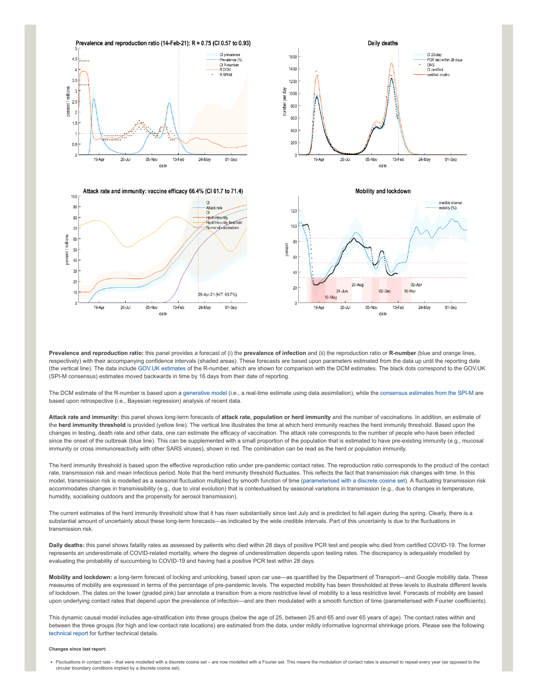

**Prevalence and reproduction ratio:** this panel provides a forecast of (i) the **prevalence of infection** and (ii) the reproduction ratio or **R-number** (blue and orange lines, respectively) with their accompanying confidence intervals (shaded areas). These forecasts are based upon parameters estimated from the data up until the reporting date (the vertical line). The data include [GOV.UK estimates](https://www.gov.uk/guidance/the-r-number-in-the-uk#latest-r-and-growth-rate) of the R-number, which are shown for comparison with the DCM estimates. The black dots correspond to the GOV.UK (SPI-M consensus) estimates moved backwards in time by 16 days from their date of reporting.

The DCM estimate of the R-number is based upon a [generative model](https://en.wikipedia.org/wiki/Generative_model) (i.e., a real-time estimate using data assimilation), while the [consensus estimates from the SPI-M](https://www.gov.uk/guidance/the-r-number-in-the-uk#contents) are based upon retrospective (i.e., Bayesian regression) analysis of recent data.

**Attack rate and immunity:** this panel shows long-term forecasts of **attack rate, population or herd immunity** and the number of vaccinations. In addition, an estimate of the **herd immunity threshold** is provided (yellow line). The vertical line illustrates the time at which herd immunity reaches the herd immunity threshold. Based upon the changes in testing, death rate and other data, one can estimate the efficacy of vaccination. The attack rate corresponds to the number of people who have been infected since the onset of the outbreak (blue line). This can be supplemented with a small proportion of the population that is estimated to have pre-existing immunity (e.g., mucosal immunity or cross immunoreactivity with other SARS viruses), shown in red. The combination can be read as the herd or population immunity.

The herd immunity threshold is based upon the effective reproduction ratio under pre-pandemic contact rates. The reproduction ratio corresponds to the product of the contact rate, transmission risk and mean infectious period. Note that the herd immunity threshold fluctuates. This reflects the fact that transmission risk changes with time. In this model, transmission risk is modelled as a seasonal fluctuation multiplied by smooth function of time ([parameterised with a discrete cosine set](https://www.medrxiv.org/content/10.1101/2021.01.10.21249520v1)). A fluctuating transmission risk accommodates changes in transmissibility (e.g., due to viral evolution) that is contextualised by seasonal variations in transmission (e.g., due to changes in temperature, humidity, socialising outdoors and the propensity for aerosol transmission).

The current estimates of the herd immunity threshold show that it has risen substantially since last July and is predicted to fall again during the spring. Clearly, there is a substantial amount of uncertainty about these long-term forecasts—as indicated by the wide credible intervals. Part of this uncertainty is due to the fluctuations in transmission risk.

**Daily deaths:** this panel shows fatality rates as assessed by patients who died within 28 days of positive PCR test and people who died from certified COVID-19. The former represents an underestimate of COVID-related mortality, where the degree of underestimation depends upon testing rates. The discrepancy is adequately modelled by evaluating the probability of succumbing to COVID-19 and having had a positive PCR test within 28 days.

**Mobility and lockdown:** a long-term forecast of locking and unlocking, based upon car use—as quantified by the Department of Transport—and Google mobility data. These measures of mobility are expressed in terms of the percentage of pre-pandemic levels. The expected mobility has been thresholded at three levels to illustrate different levels of lockdown. The dates on the lower (graded pink) bar annotate a transition from a more restrictive level of mobility to a less restrictive level. Forecasts of mobility are based upon underlying contact rates that depend upon the prevalence of infection—and are then modulated with a smooth function of time (parameterised with Fourier coefficients).

This dynamic causal model includes age-stratification into three groups (below the age of 25, between 25 and 65 and over 65 years of age). The contact rates within and between the three groups (for high and low contact rate locations) are estimated from the data, under mildly informative lognormal shrinkage priors. Please see the following [technical report](https://arxiv.org/abs/2011.12400) for further technical details.

## **Changes since last report:**

■ Fluctuations in contact rate – that were modelled with a discrete cosine set – are now modelled with a Fourier set. This means the modulation of contact rates is assumed to repeat every year (as opposed to the circular boundary conditions implied by a discrete cosine set).